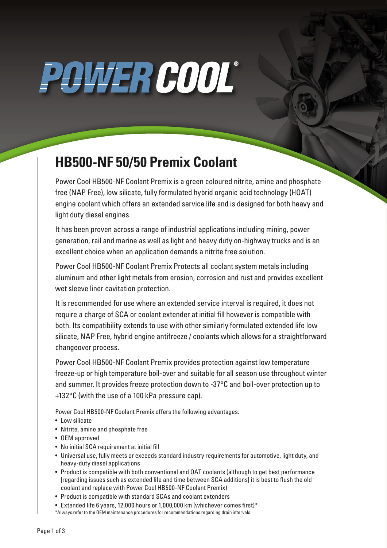# POWER COOL®

### **HB500-NF 50/50 Premix Coolant**

Power Cool HB500-NF Coolant Premix is a green coloured nitrite, amine and phosphate free (NAP Free), low silicate, fully formulated hybrid organic acid technology (HOAT) engine coolant which offers an extended service life and is designed for both heavy and light duty diesel engines.

It has been proven across a range of industrial applications including mining, power generation, rail and marine as well as light and heavy duty on-highway trucks and is an excellent choice when an application demands a nitrite free solution.

Power Cool HB500-NF Coolant Premix Protects all coolant system metals including aluminum and other light metals from erosion, corrosion and rust and provides excellent wet sleeve liner cavitation protection.

It is recommended for use where an extended service interval is required, it does not require a charge of SCA or coolant extender at initial fill however is compatible with both. Its compatibility extends to use with other similarly formulated extended life low silicate, NAP Free, hybrid engine antifreeze / coolants which allows for a straightforward changeover process.

Power Cool HB500-NF Coolant Premix provides protection against low temperature freeze-up or high temperature boil-over and suitable for all season use throughout winter and summer. It provides freeze protection down to -37°C and boil-over protection up to +132°C (with the use of a 100 kPa pressure cap).

Power Cool HB500-NF Coolant Premix offers the following advantages:

- Low silicate
- Nitrite, amine and phosphate free
- OEM approved
- No initial SCA requirement at initial fill
- Universal use, fully meets or exceeds standard industry requirements for automotive, light duty, and heavy-duty diesel applications
- Product is compatible with both conventional and OAT coolants (although to get best performance [regarding issues such as extended life and time between SCA additions] it is best to flush the old coolant and replace with Power Cool HB500-NF Coolant Premix)
- Product is compatible with standard SCAs and coolant extenders
- Extended life 6 years, 12,000 hours or 1,000,000 km (whichever comes first)\* \*Always refer to the OEM maintenance procedures for recommendations regarding drain intervals.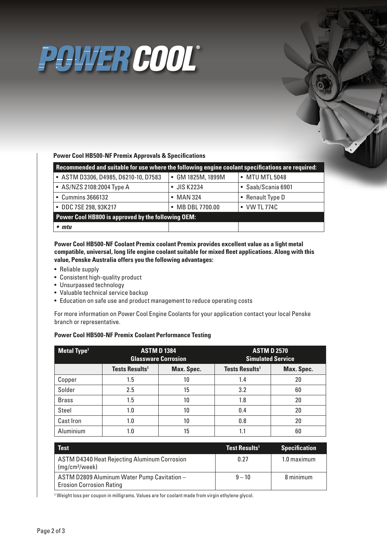## POWER COOL®

### **Power Cool HB500-NF Premix Approvals & Specifications**

| Recommended and suitable for use where the following engine coolant specifications are required: |                   |                    |  |  |  |
|--------------------------------------------------------------------------------------------------|-------------------|--------------------|--|--|--|
| • ASTM D3306, D4985, D6210-10, D7583                                                             | • GM 1825M, 1899M | • MTU MTL 5048     |  |  |  |
| • AS/NZS 2108:2004 Type A                                                                        | • JIS K2234       | • Saab/Scania 6901 |  |  |  |
| • Cummins 3666132                                                                                | $\bullet$ MAN 324 | • Renault Type D   |  |  |  |
| • DDC 7SE 298, 93K217                                                                            | • MB DBL 7700.00  | • VW TL 774C       |  |  |  |
| Power Cool HB800 is approved by the following OEM:                                               |                   |                    |  |  |  |
| $\bullet$ mtu                                                                                    |                   |                    |  |  |  |

### **Power Cool HB500-NF Coolant Premix coolant Premix provides excellent value as a light metal compatible, universal, long life engine coolant suitable for mixed fleet applications. Along with this value, Penske Australia offers you the following advantages:**

- Reliable supply
- Consistent high-quality product
- Unsurpassed technology
- Valuable technical service backup
- Education on safe use and product management to reduce operating costs

For more information on Power Cool Engine Coolants for your application contact your local Penske branch or representative.

### **Power Cool HB500-NF Premix Coolant Performance Testing**

| <b>Metal Type<sup>1</sup></b> | <b>ASTM D1384</b><br><b>Glassware Corrosion</b> |            | <b>ASTM D 2570</b><br><b>Simulated Service</b> |            |
|-------------------------------|-------------------------------------------------|------------|------------------------------------------------|------------|
|                               | <b>Tests Results<sup>1</sup></b>                | Max. Spec. | <b>Tests Results<sup>1</sup></b>               | Max. Spec. |
| Copper                        | 1.5                                             | 10         | 1.4                                            | 20         |
| Solder                        | 2.5                                             | 15         | 3.2                                            | 60         |
| <b>Brass</b>                  | 1.5                                             | 10         | 1.8                                            | 20         |
| Steel                         | 1.0                                             | 10         | 0.4                                            | 20         |
| Cast Iron                     | 1.0                                             | 10         | 0.8                                            | 20         |
| Aluminium                     | 1.0                                             | 15         |                                                | 60         |

| <b>Test</b>                                                                       | <b>Test Results<sup>1</sup></b> | <b>Specification</b> |
|-----------------------------------------------------------------------------------|---------------------------------|----------------------|
| <b>ASTM D4340 Heat Rejecting Aluminum Corrosion</b><br>(mq/cm <sup>2</sup> /week) | 0.27                            | 1.0 maximum          |
| ASTM D2809 Aluminum Water Pump Cavitation -<br><b>Erosion Corrosion Rating</b>    | $9 - 10$                        | 8 minimum            |

<sup>1</sup> Weight loss per coupon in milligrams. Values are for coolant made from virgin ethylene glycol.